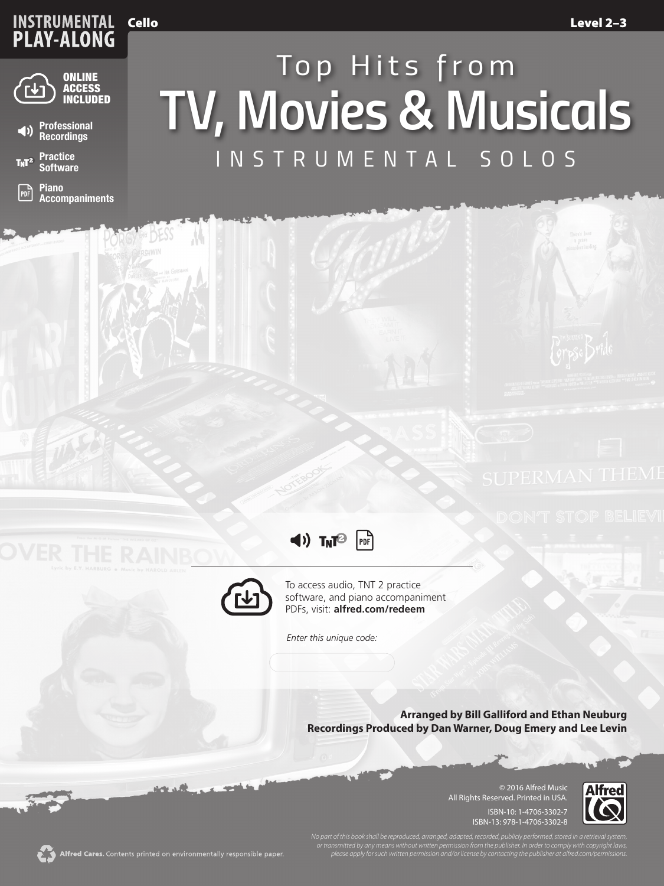## **INSTRUMENTAL<br>PLAY-ALONG** Cello





**Practice**   $T_NT^2$ **Software**

 $\mathbb{P}$ **Piano Accompaniments**

## *INSTRUMENTAL SOLOS TV, Movies & Musicals Top Hits from*





To access audio, TNT 2 practice software, and piano accompaniment PDFs, visit: **alfred.com/redeem**

*Enter this unique code:*

**Arranged by Bill Galliford and Ethan Neuburg Recordings Produced by Dan Warner, Doug Emery and Lee Levin**

> © 2016 Alfred Music All Rights Reserved. Printed in USA. ISBN-10: 1-4706-3302-7 ISBN-13: 978-1-4706-3302-8



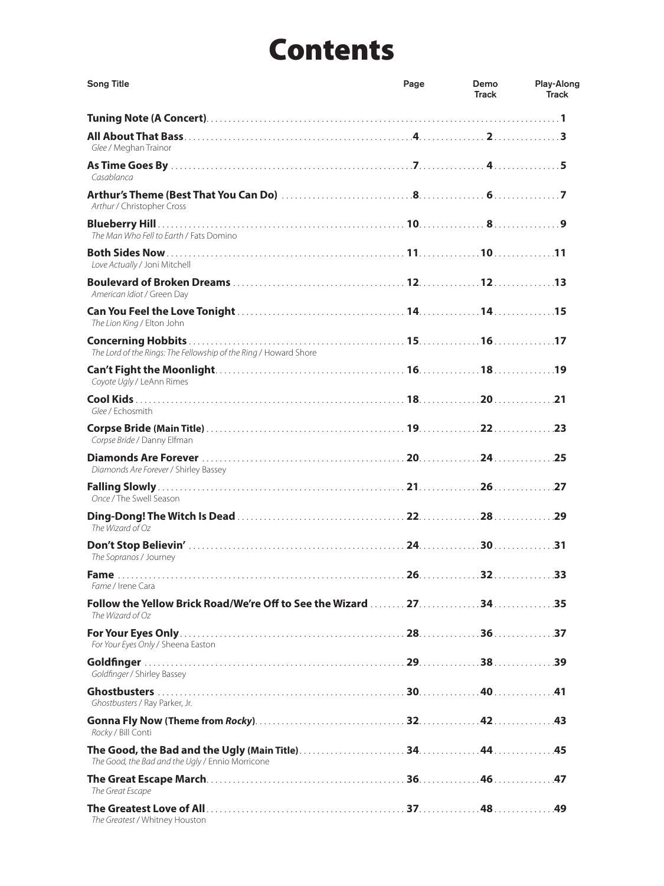## Contents

| <b>Song Title</b>                                                                        | Page | Demo<br><b>Track</b> | Play-Along<br><b>Track</b> |
|------------------------------------------------------------------------------------------|------|----------------------|----------------------------|
|                                                                                          |      |                      |                            |
| Glee / Meghan Trainor                                                                    |      |                      |                            |
| Casablanca                                                                               |      |                      |                            |
| Arthur / Christopher Cross                                                               |      |                      |                            |
| The Man Who Fell to Earth / Fats Domino                                                  |      |                      |                            |
| Love Actually / Joni Mitchell                                                            |      |                      |                            |
| American Idiot / Green Day                                                               |      |                      |                            |
| The Lion King / Elton John                                                               |      |                      |                            |
| The Lord of the Rings: The Fellowship of the Ring / Howard Shore                         |      |                      |                            |
| Coyote Ugly / LeAnn Rimes                                                                |      |                      |                            |
| Glee / Echosmith                                                                         |      |                      |                            |
| Corpse Bride / Danny Elfman                                                              |      |                      |                            |
| Diamonds Are Forever / Shirley Bassey                                                    |      |                      |                            |
| Once / The Swell Season                                                                  |      |                      |                            |
| The Wizard of Oz                                                                         |      |                      |                            |
| The Sopranos / Journey                                                                   |      |                      |                            |
| Fame / Irene Cara                                                                        |      |                      |                            |
| Follow the Yellow Brick Road/We're Off to See the Wizard  27. 34. 35<br>The Wizard of Oz |      |                      |                            |
| For Your Eyes Only / Sheena Easton                                                       |      |                      |                            |
| Goldfinger / Shirley Bassey                                                              |      |                      |                            |
| Ghostbusters / Ray Parker, Jr.                                                           |      |                      |                            |
| Rocky / Bill Conti                                                                       |      |                      |                            |
| The Good, the Bad and the Ugly / Ennio Morricone                                         |      |                      |                            |
| The Great Escape                                                                         |      |                      |                            |
| The Greatest / Whitney Houston                                                           |      |                      |                            |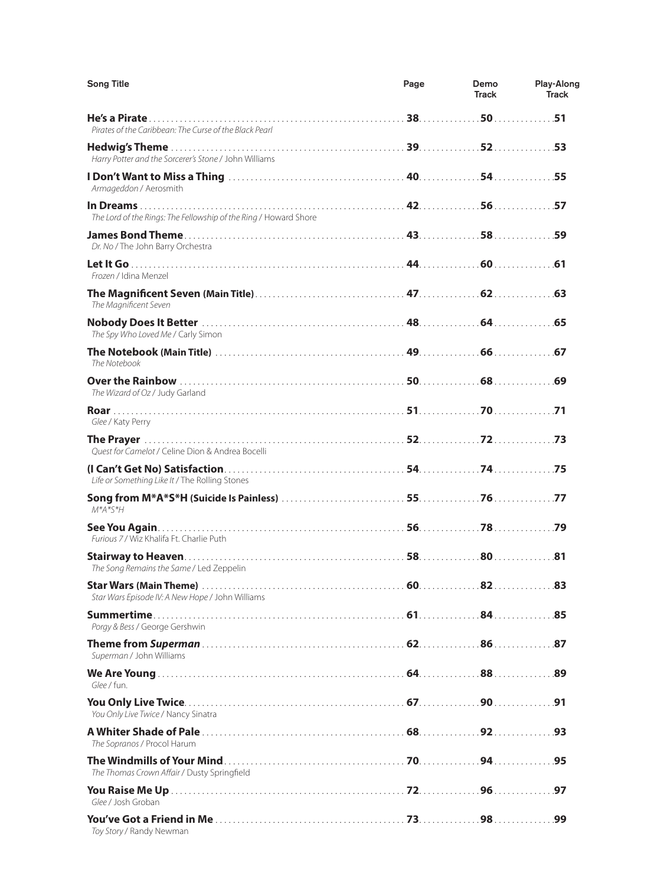| <b>Song Title</b>                                                | Page | Demo<br><b>Track</b> | Play-Along<br><b>Track</b> |
|------------------------------------------------------------------|------|----------------------|----------------------------|
| Pirates of the Caribbean: The Curse of the Black Pearl           |      |                      |                            |
| Harry Potter and the Sorcerer's Stone / John Williams            |      |                      |                            |
| Armageddon / Aerosmith                                           |      |                      |                            |
| The Lord of the Rings: The Fellowship of the Ring / Howard Shore |      |                      |                            |
| Dr. No / The John Barry Orchestra                                |      |                      |                            |
| Frozen / Idina Menzel                                            |      |                      |                            |
| The Magnificent Seven                                            |      |                      |                            |
| The Spy Who Loved Me / Carly Simon                               |      |                      |                            |
| The Notebook                                                     |      |                      |                            |
| The Wizard of Oz / Judy Garland                                  |      |                      |                            |
| Glee / Katy Perry                                                |      |                      |                            |
| Quest for Camelot / Celine Dion & Andrea Bocelli                 |      |                      |                            |
| Life or Something Like It / The Rolling Stones                   |      |                      |                            |
| $M^*A^*S^*H$                                                     |      |                      |                            |
| Furious 7 / Wiz Khalifa Ft. Charlie Puth                         |      |                      |                            |
| The Song Remains the Same / Led Zeppelin                         |      |                      |                            |
| Star Wars Episode IV: A New Hope / John Williams                 |      |                      |                            |
| Porgy & Bess / George Gershwin                                   |      |                      |                            |
| Superman / John Williams                                         |      |                      |                            |
| Glee / fun.                                                      |      |                      |                            |
| You Only Live Twice / Nancy Sinatra                              |      |                      |                            |
| The Sopranos / Procol Harum                                      |      |                      |                            |
| The Thomas Crown Affair / Dusty Springfield                      |      |                      |                            |
| Glee / Josh Groban                                               |      |                      |                            |
| Toy Story / Randy Newman                                         |      |                      |                            |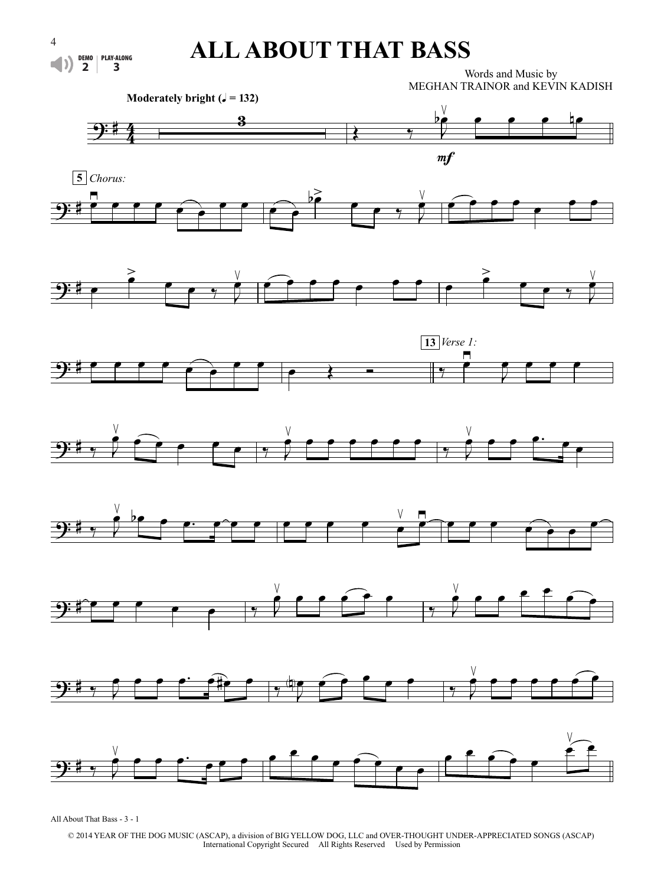## **ALL ABOUT THAT BASS**

Words and Music by MEGHAN TRAINOR and KEVIN KADISH



















All About That Bass - 3 - 1

© 2014 YEAR OF THE DOG MUSIC (ASCAP), a division of BIG YELLOW DOG, LLC and OVER-THOUGHT UNDER-APPRECIATED SONGS (ASCAP) International Copyright Secured All Rights Reserved Used by Permission

 $\left| \downarrow \right\rangle$ 

DEMO **2** PLAY-ALONG **3**